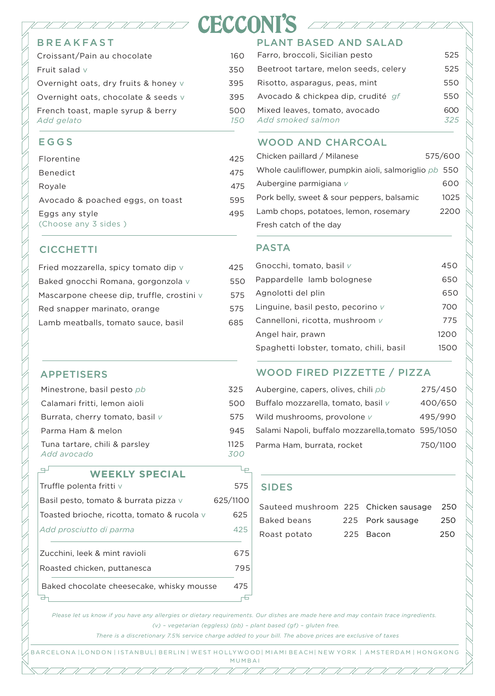## **B R E A K F A S T**

| Croissant/Pain au chocolate                     | 160        |
|-------------------------------------------------|------------|
| Fruit salad v                                   | 350        |
| Overnight oats, dry fruits & honey v            | 395        |
| Overnight oats, chocolate & seeds v             | 395        |
| French toast, maple syrup & berry<br>Add gelato | 500<br>15O |

 $\mathbb{Z}/\mathbb{Z}/\mathbb{Z}$ 

#### EGGS

| Florentine                             | 425 |
|----------------------------------------|-----|
| <b>Benedict</b>                        | 475 |
| Royale                                 | 475 |
| Avocado & poached eggs, on toast       | 595 |
| Eggs any style<br>(Choose any 3 sides) | 495 |

### **CICCHETTI**

| Fried mozzarella, spicy tomato dip v       | 425 |
|--------------------------------------------|-----|
| Baked gnocchi Romana, gorgonzola v         | 550 |
| Mascarpone cheese dip, truffle, crostini v | 575 |
| Red snapper marinato, orange               | 575 |
| Lamb meatballs, tomato sauce, basil        | 685 |

### APPETISERS

| Minestrone, basil pesto pb                   | 325  |
|----------------------------------------------|------|
| Calamari fritti, lemon aioli                 | 500  |
| Burrata, cherry tomato, basil $V$            | 575  |
| Parma Ham & melon                            | 945  |
| Tuna tartare, chili & parsley<br>Add avocado | 1125 |

#### ⋥ صا **WEEKLY SPECIAL** Truffle polenta fritti v 575 Basil pesto, tomato & burrata pizza v 625/1100 Toasted brioche, ricotta, tomato & rucola v 625 *Add prosciutto di parma* 425 Zucchini, leek & mint ravioli **675** Roasted chicken, puttanesca<br>
795 Baked chocolate cheesecake, whisky mousse 475 F a٣

## PLANT BASED AND SALAD

**CECCONI'S CONDUCT** 

| Farro, broccoli, Sicilian pesto                    | 525        |
|----------------------------------------------------|------------|
| Beetroot tartare, melon seeds, celery              | 525        |
| Risotto, asparagus, peas, mint                     | 550        |
| Avocado & chickpea dip, crudité gf                 | 550        |
| Mixed leaves, tomato, avocado<br>Add smoked salmon | 600<br>325 |

## WOOD AND CHARCOAL

| Chicken paillard / Milanese                          | 575/600 |
|------------------------------------------------------|---------|
| Whole cauliflower, pumpkin aioli, salmoriglio pb 550 |         |
| Aubergine parmigiana $V$                             | 600     |
| Pork belly, sweet & sour peppers, balsamic           | 1025    |
| Lamb chops, potatoes, lemon, rosemary                | 2200    |
| Fresh catch of the day                               |         |

### PASTA

| Gnocchi, tomato, basil v                | 450  |
|-----------------------------------------|------|
| Pappardelle lamb bolognese              | 650  |
| Agnolotti del plin                      | 650  |
| Linguine, basil pesto, pecorino $V$     | 700  |
| Cannelloni, ricotta, mushroom v         | 775  |
| Angel hair, prawn                       | 1200 |
| Spaghetti lobster, tomato, chili, basil | 1500 |

# WOOD FIRED PIZZETTE / PIZZA

| Aubergine, capers, olives, chili pb                | 275/450  |
|----------------------------------------------------|----------|
| Buffalo mozzarella, tomato, basil v                | 400/650  |
| Wild mushrooms, provolone v                        | 495/990  |
| Salami Napoli, buffalo mozzarella, tomato 595/1050 |          |
| Parma Ham, burrata, rocket                         | 750/1100 |

### SIDES

| Sauteed mushroom 225 Chicken sausage 250 |                  |     |
|------------------------------------------|------------------|-----|
| Baked beans                              | 225 Pork sausage | 250 |
| Roast potato                             | 225 Bacon        | 250 |

*Please let us know if you have any allergies or dietary requirements. Our dishes are made here and may contain trace ingredients. (v) – vegetarian (eggless) (pb) – plant based (gf) – gluten free.* 

*There is a discretionary 7.5% service charge added to your bill. The above prices are exclusive of taxes*

BARCELONA |LONDON | ISTANBUL| BERLIN | WEST HOLLYWOOD| MIAMI BEACH| NEW YORK | AMSTERDAM | HONGKONG MUMBAI

77